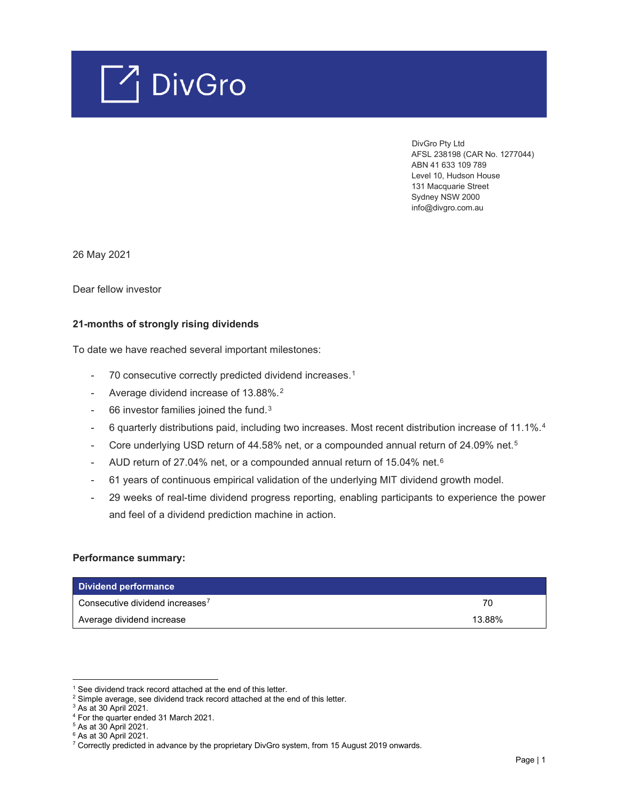

 DivGro Pty Ltd AFSL 238198 (CAR No. 1277044) ABN 41 633 109 789 Level 10, Hudson House 131 Macquarie Street Sydney NSW 2000 info@divgro.com.au

26 May 2021

Dear fellow investor

## **21-months of strongly rising dividends**

To date we have reached several important milestones:

- 70 consecutive correctly predicted dividend increases.<sup>[1](#page-0-0)</sup>
- Average dividend increase of 13.88%.[2](#page-0-1)
- 66 investor families joined the fund.<sup>[3](#page-0-2)</sup>
- 6 quarterly distributions paid, including two increases. Most recent distribution increase of 11.1%.<sup>[4](#page-0-3)</sup>
- Core underlying USD return of 44.[5](#page-0-4)8% net, or a compounded annual return of 24.09% net.<sup>5</sup>
- AUD return of 27.04% net, or a compounded annual return of 15.04% net. $6$
- 61 years of continuous empirical validation of the underlying MIT dividend growth model.
- 29 weeks of real-time dividend progress reporting, enabling participants to experience the power and feel of a dividend prediction machine in action.

#### **Performance summary:**

| Dividend performance                        |        |
|---------------------------------------------|--------|
| Consecutive dividend increases <sup>7</sup> | 70     |
| Average dividend increase                   | 13.88% |

<sup>&</sup>lt;sup>1</sup> See dividend track record attached at the end of this letter.

<span id="page-0-1"></span><span id="page-0-0"></span><sup>&</sup>lt;sup>2</sup> Simple average, see dividend track record attached at the end of this letter.

<span id="page-0-2"></span> $3$  As at 30 April 2021.

<sup>4</sup> For the quarter ended 31 March 2021.

<span id="page-0-5"></span><span id="page-0-4"></span><span id="page-0-3"></span><sup>5</sup> As at 30 April 2021.

 $6$  As at 30 April 2021.

<span id="page-0-6"></span><sup>&</sup>lt;sup>7</sup> Correctly predicted in advance by the proprietary DivGro system, from 15 August 2019 onwards.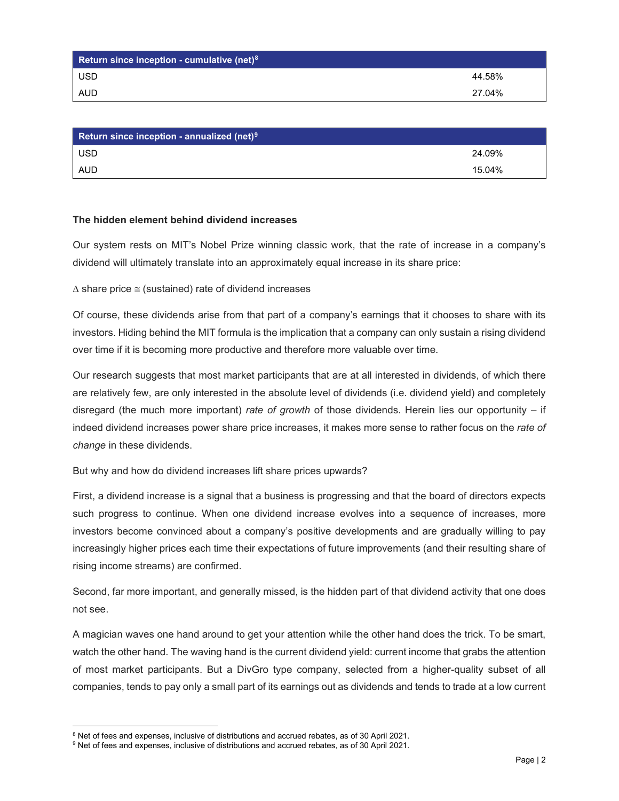| Return since inception - cumulative (net) $81$ |        |
|------------------------------------------------|--------|
| <b>USD</b>                                     | 44.58% |
| <b>AUD</b>                                     | 27.04% |

| <b>Return since inception - annualized (net)<sup>9</sup></b> |        |
|--------------------------------------------------------------|--------|
| <b>USD</b>                                                   | 24.09% |
| <b>AUD</b>                                                   | 15.04% |

## **The hidden element behind dividend increases**

Our system rests on MIT's Nobel Prize winning classic work, that the rate of increase in a company's dividend will ultimately translate into an approximately equal increase in its share price:

∆ share price ≅ (sustained) rate of dividend increases

Of course, these dividends arise from that part of a company's earnings that it chooses to share with its investors. Hiding behind the MIT formula is the implication that a company can only sustain a rising dividend over time if it is becoming more productive and therefore more valuable over time.

Our research suggests that most market participants that are at all interested in dividends, of which there are relatively few, are only interested in the absolute level of dividends (i.e. dividend yield) and completely disregard (the much more important) *rate of growth* of those dividends. Herein lies our opportunity – if indeed dividend increases power share price increases, it makes more sense to rather focus on the *rate of change* in these dividends.

But why and how do dividend increases lift share prices upwards?

First, a dividend increase is a signal that a business is progressing and that the board of directors expects such progress to continue. When one dividend increase evolves into a sequence of increases, more investors become convinced about a company's positive developments and are gradually willing to pay increasingly higher prices each time their expectations of future improvements (and their resulting share of rising income streams) are confirmed.

Second, far more important, and generally missed, is the hidden part of that dividend activity that one does not see.

A magician waves one hand around to get your attention while the other hand does the trick. To be smart, watch the other hand. The waving hand is the current dividend yield: current income that grabs the attention of most market participants. But a DivGro type company, selected from a higher-quality subset of all companies, tends to pay only a small part of its earnings out as dividends and tends to trade at a low current

 $8$  Net of fees and expenses, inclusive of distributions and accrued rebates, as of 30 April 2021.

<span id="page-1-1"></span><span id="page-1-0"></span><sup>&</sup>lt;sup>9</sup> Net of fees and expenses, inclusive of distributions and accrued rebates, as of 30 April 2021.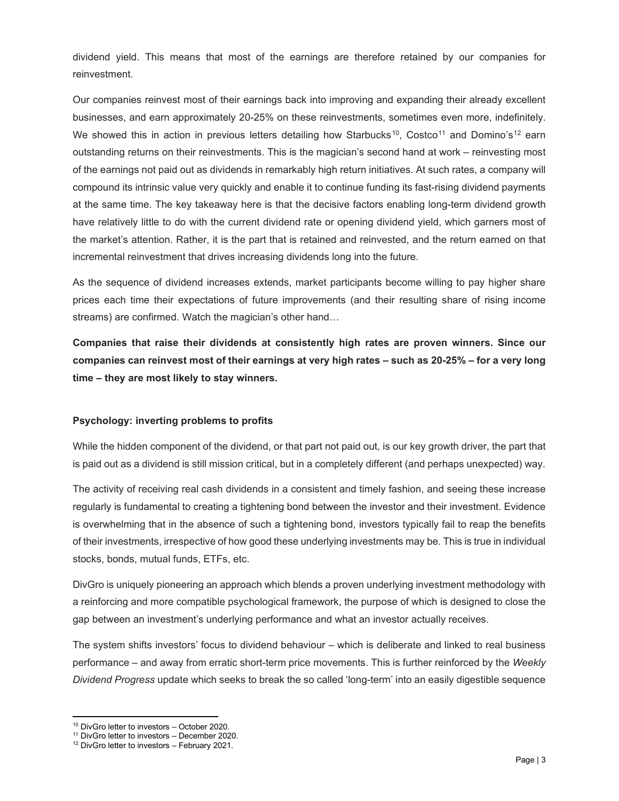dividend yield. This means that most of the earnings are therefore retained by our companies for reinvestment.

Our companies reinvest most of their earnings back into improving and expanding their already excellent businesses, and earn approximately 20-25% on these reinvestments, sometimes even more, indefinitely. We showed this in action in previous letters detailing how Starbucks<sup>[10](#page-2-0)</sup>, Costco<sup>[11](#page-2-1)</sup> and Domino's<sup>[12](#page-2-2)</sup> earn outstanding returns on their reinvestments. This is the magician's second hand at work – reinvesting most of the earnings not paid out as dividends in remarkably high return initiatives. At such rates, a company will compound its intrinsic value very quickly and enable it to continue funding its fast-rising dividend payments at the same time. The key takeaway here is that the decisive factors enabling long-term dividend growth have relatively little to do with the current dividend rate or opening dividend yield, which garners most of the market's attention. Rather, it is the part that is retained and reinvested, and the return earned on that incremental reinvestment that drives increasing dividends long into the future.

As the sequence of dividend increases extends, market participants become willing to pay higher share prices each time their expectations of future improvements (and their resulting share of rising income streams) are confirmed. Watch the magician's other hand…

**Companies that raise their dividends at consistently high rates are proven winners. Since our companies can reinvest most of their earnings at very high rates – such as 20-25% – for a very long time – they are most likely to stay winners.**

## **Psychology: inverting problems to profits**

While the hidden component of the dividend, or that part not paid out, is our key growth driver, the part that is paid out as a dividend is still mission critical, but in a completely different (and perhaps unexpected) way.

The activity of receiving real cash dividends in a consistent and timely fashion, and seeing these increase regularly is fundamental to creating a tightening bond between the investor and their investment. Evidence is overwhelming that in the absence of such a tightening bond, investors typically fail to reap the benefits of their investments, irrespective of how good these underlying investments may be. This is true in individual stocks, bonds, mutual funds, ETFs, etc.

DivGro is uniquely pioneering an approach which blends a proven underlying investment methodology with a reinforcing and more compatible psychological framework, the purpose of which is designed to close the gap between an investment's underlying performance and what an investor actually receives.

The system shifts investors' focus to dividend behaviour – which is deliberate and linked to real business performance – and away from erratic short-term price movements. This is further reinforced by the *Weekly Dividend Progress* update which seeks to break the so called 'long-term' into an easily digestible sequence

<span id="page-2-0"></span><sup>10</sup> DivGro letter to investors – October 2020.

<span id="page-2-1"></span><sup>11</sup> DivGro letter to investors – December 2020.

<span id="page-2-2"></span><sup>12</sup> DivGro letter to investors – February 2021.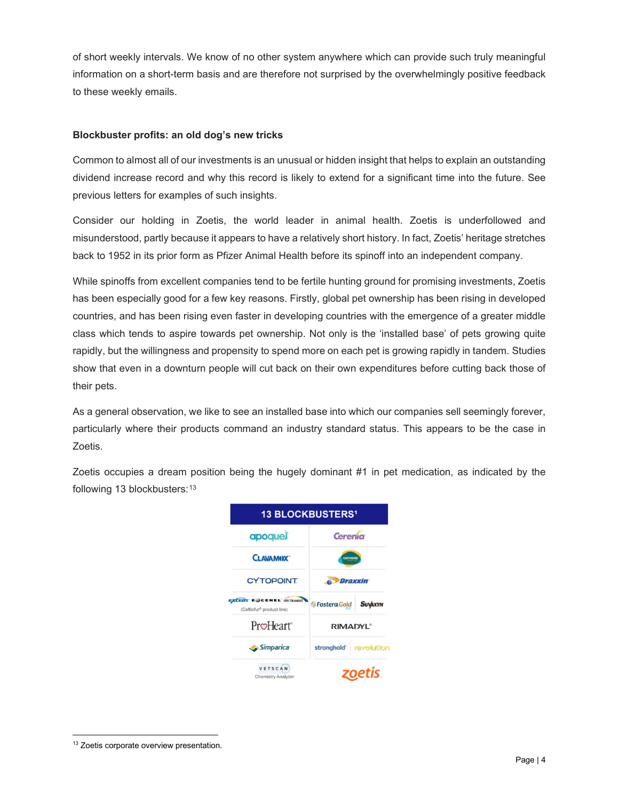of short weekly intervals. We know of no other system anywhere which can provide such truly meaningful information on a short-term basis and are therefore not surprised by the overwhelmingly positive feedback to these weekly emails.

## **Blockbuster profits: an old dog's new tricks**

Common to almost all of our investments is an unusual or hidden insight that helps to explain an outstanding dividend increase record and why this record is likely to extend for a significant time into the future. See previous letters for examples of such insights.

Consider our holding in Zoetis, the world leader in animal health. Zoetis is underfollowed and misunderstood, partly because it appears to have a relatively short history. In fact, Zoetis' heritage stretches back to 1952 in its prior form as Pfizer Animal Health before its spinoff into an independent company.

While spinoffs from excellent companies tend to be fertile hunting ground for promising investments, Zoetis has been especially good for a few key reasons. Firstly, global pet ownership has been rising in developed countries, and has been rising even faster in developing countries with the emergence of a greater middle class which tends to aspire towards pet ownership. Not only is the 'installed base' of pets growing quite rapidly, but the willingness and propensity to spend more on each pet is growing rapidly in tandem. Studies show that even in a downturn people will cut back on their own expenditures before cutting back those of their pets.

As a general observation, we like to see an installed base into which our companies sell seemingly forever, particularly where their products command an industry standard status. This appears to be the case in Zoetis.

Zoetis occupies a dream position being the hugely dominant #1 in pet medication, as indicated by the following [13](#page-3-0) blockbusters: 13



<span id="page-3-0"></span><sup>&</sup>lt;sup>13</sup> Zoetis corporate overview presentation.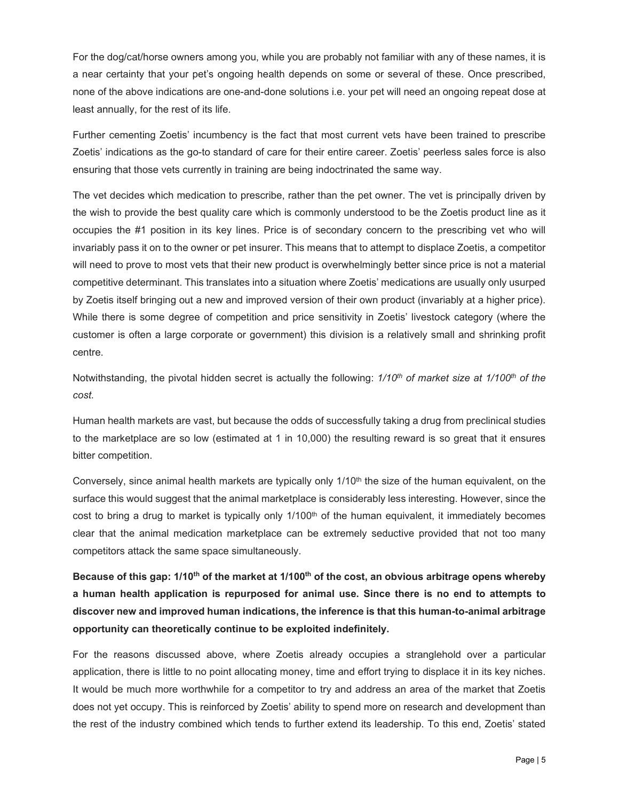For the dog/cat/horse owners among you, while you are probably not familiar with any of these names, it is a near certainty that your pet's ongoing health depends on some or several of these. Once prescribed, none of the above indications are one-and-done solutions i.e. your pet will need an ongoing repeat dose at least annually, for the rest of its life.

Further cementing Zoetis' incumbency is the fact that most current vets have been trained to prescribe Zoetis' indications as the go-to standard of care for their entire career. Zoetis' peerless sales force is also ensuring that those vets currently in training are being indoctrinated the same way.

The vet decides which medication to prescribe, rather than the pet owner. The vet is principally driven by the wish to provide the best quality care which is commonly understood to be the Zoetis product line as it occupies the #1 position in its key lines. Price is of secondary concern to the prescribing vet who will invariably pass it on to the owner or pet insurer. This means that to attempt to displace Zoetis, a competitor will need to prove to most vets that their new product is overwhelmingly better since price is not a material competitive determinant. This translates into a situation where Zoetis' medications are usually only usurped by Zoetis itself bringing out a new and improved version of their own product (invariably at a higher price). While there is some degree of competition and price sensitivity in Zoetis' livestock category (where the customer is often a large corporate or government) this division is a relatively small and shrinking profit centre.

Notwithstanding, the pivotal hidden secret is actually the following: *1/10th of market size at 1/100th of the cost.*

Human health markets are vast, but because the odds of successfully taking a drug from preclinical studies to the marketplace are so low (estimated at 1 in 10,000) the resulting reward is so great that it ensures bitter competition.

Conversely, since animal health markets are typically only 1/10<sup>th</sup> the size of the human equivalent, on the surface this would suggest that the animal marketplace is considerably less interesting. However, since the cost to bring a drug to market is typically only  $1/100<sup>th</sup>$  of the human equivalent, it immediately becomes clear that the animal medication marketplace can be extremely seductive provided that not too many competitors attack the same space simultaneously.

**Because of this gap: 1/10th of the market at 1/100th of the cost, an obvious arbitrage opens whereby a human health application is repurposed for animal use. Since there is no end to attempts to discover new and improved human indications, the inference is that this human-to-animal arbitrage opportunity can theoretically continue to be exploited indefinitely.** 

For the reasons discussed above, where Zoetis already occupies a stranglehold over a particular application, there is little to no point allocating money, time and effort trying to displace it in its key niches. It would be much more worthwhile for a competitor to try and address an area of the market that Zoetis does not yet occupy. This is reinforced by Zoetis' ability to spend more on research and development than the rest of the industry combined which tends to further extend its leadership. To this end, Zoetis' stated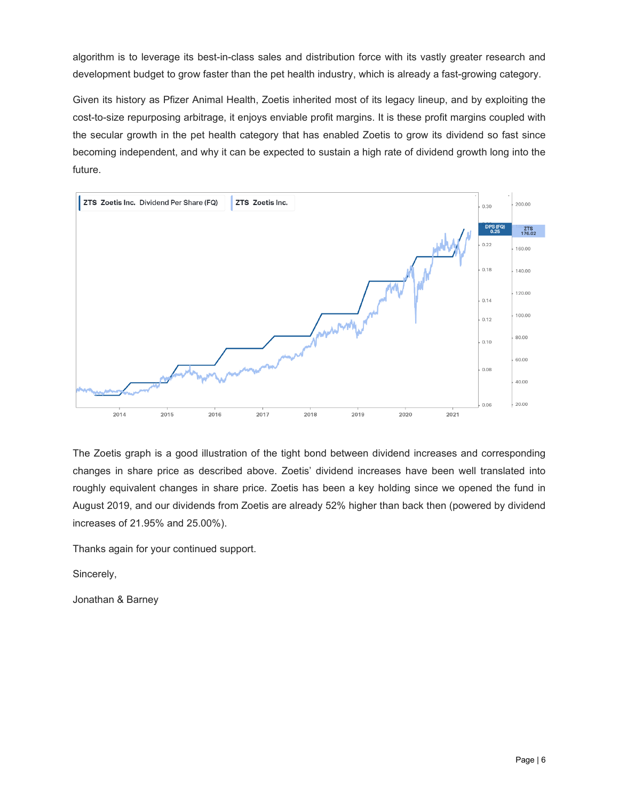algorithm is to leverage its best-in-class sales and distribution force with its vastly greater research and development budget to grow faster than the pet health industry, which is already a fast-growing category.

Given its history as Pfizer Animal Health, Zoetis inherited most of its legacy lineup, and by exploiting the cost-to-size repurposing arbitrage, it enjoys enviable profit margins. It is these profit margins coupled with the secular growth in the pet health category that has enabled Zoetis to grow its dividend so fast since becoming independent, and why it can be expected to sustain a high rate of dividend growth long into the future.



The Zoetis graph is a good illustration of the tight bond between dividend increases and corresponding changes in share price as described above. Zoetis' dividend increases have been well translated into roughly equivalent changes in share price. Zoetis has been a key holding since we opened the fund in August 2019, and our dividends from Zoetis are already 52% higher than back then (powered by dividend increases of 21.95% and 25.00%).

Thanks again for your continued support.

Sincerely,

Jonathan & Barney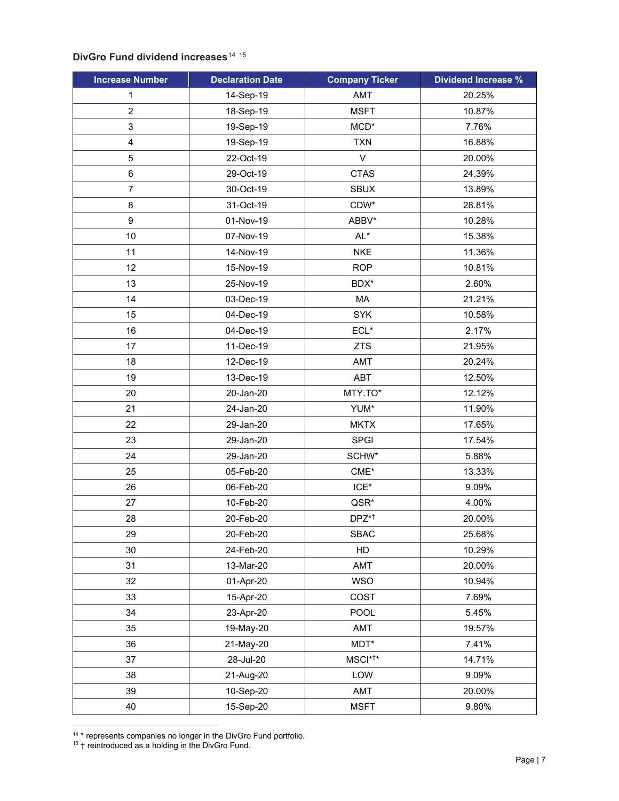# **DivGro Fund dividend increases**<sup>[14](#page-6-0)</sup> <sup>[15](#page-6-1)</sup>

| <b>Increase Number</b>  | <b>Declaration Date</b> | <b>Company Ticker</b> | <b>Dividend Increase %</b> |
|-------------------------|-------------------------|-----------------------|----------------------------|
| 1                       | 14-Sep-19               | AMT                   | 20.25%                     |
| $\overline{2}$          | 18-Sep-19               | <b>MSFT</b>           | 10.87%                     |
| 3                       | 19-Sep-19               | $MCD*$                | 7.76%                      |
| $\overline{\mathbf{4}}$ | 19-Sep-19               | <b>TXN</b>            | 16.88%                     |
| $\overline{5}$          | 22-Oct-19               | $\mathsf{V}$          | 20.00%                     |
| 6                       | 29-Oct-19               | <b>CTAS</b>           | 24.39%                     |
| 7                       | 30-Oct-19               | <b>SBUX</b>           | 13.89%                     |
| 8                       | 31-Oct-19               | CDW*                  | 28.81%                     |
| 9                       | 01-Nov-19               | ABBV*                 | 10.28%                     |
| 10                      | 07-Nov-19               | $AL^*$                | 15.38%                     |
| 11                      | 14-Nov-19               | <b>NKE</b>            | 11.36%                     |
| 12                      | 15-Nov-19               | <b>ROP</b>            | 10.81%                     |
| 13                      | 25-Nov-19               | BDX*                  | 2.60%                      |
| 14                      | 03-Dec-19               | MA                    | 21.21%                     |
| 15                      | 04-Dec-19               | <b>SYK</b>            | 10.58%                     |
| 16                      | 04-Dec-19               | $ECL*$                | 2.17%                      |
| 17                      | 11-Dec-19               | <b>ZTS</b>            | 21.95%                     |
| 18                      | 12-Dec-19               | AMT                   | 20.24%                     |
| 19                      | 13-Dec-19               | ABT                   | 12.50%                     |
| 20                      | 20-Jan-20               | MTY.TO*               | 12.12%                     |
| 21                      | 24-Jan-20               | YUM*                  | 11.90%                     |
| 22                      | 29-Jan-20               | <b>MKTX</b>           | 17.65%                     |
| 23                      | 29-Jan-20               | <b>SPGI</b>           | 17.54%                     |
| 24                      | 29-Jan-20               | SCHW*                 | 5.88%                      |
| 25                      | 05-Feb-20               | $CME*$                | 13.33%                     |
| 26                      | 06-Feb-20               | $ICE^*$               | 9.09%                      |
| 27                      | 10-Feb-20               | QSR*                  | 4.00%                      |
| 28                      | 20-Feb-20               | DPZ* <sup>+</sup>     | 20.00%                     |
| 29                      | 20-Feb-20               | <b>SBAC</b>           | 25.68%                     |
| 30                      | 24-Feb-20               | HD                    | 10.29%                     |
| 31                      | 13-Mar-20               | AMT                   | 20.00%                     |
| 32                      | 01-Apr-20               | <b>WSO</b>            | 10.94%                     |
| 33                      | 15-Apr-20               | COST                  | 7.69%                      |
| 34                      | 23-Apr-20               | POOL                  | 5.45%                      |
| 35                      | 19-May-20               | AMT                   | 19.57%                     |
| 36                      | 21-May-20               | $MDT^*$               | 7.41%                      |
| 37                      | 28-Jul-20               | MSCI* <sup>†*</sup>   | 14.71%                     |
| 38                      | 21-Aug-20               | LOW                   | 9.09%                      |
| 39                      | 10-Sep-20               | AMT                   | 20.00%                     |
| 40                      | 15-Sep-20               | <b>MSFT</b>           | 9.80%                      |

<span id="page-6-0"></span><sup>&</sup>lt;sup>14</sup> \* represents companies no longer in the DivGro Fund portfolio.

<span id="page-6-1"></span>† reintroduced as a holding in the DivGro Fund.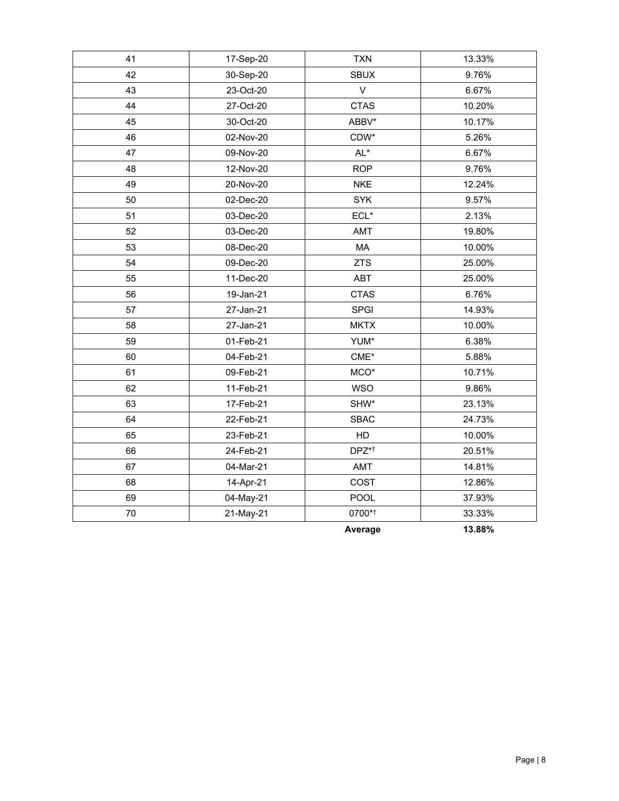| 41 | 17-Sep-20 | <b>TXN</b>           | 13.33% |
|----|-----------|----------------------|--------|
| 42 | 30-Sep-20 | <b>SBUX</b>          | 9.76%  |
| 43 | 23-Oct-20 | $\vee$               | 6.67%  |
| 44 | 27-Oct-20 | <b>CTAS</b>          | 10.20% |
| 45 | 30-Oct-20 | ABBV*                | 10.17% |
| 46 | 02-Nov-20 | CDW*                 | 5.26%  |
| 47 | 09-Nov-20 | $AL^*$               | 6.67%  |
| 48 | 12-Nov-20 | <b>ROP</b>           | 9.76%  |
| 49 | 20-Nov-20 | <b>NKE</b>           | 12.24% |
| 50 | 02-Dec-20 | SYK                  | 9.57%  |
| 51 | 03-Dec-20 | $\mathsf{ECL}^\star$ | 2.13%  |
| 52 | 03-Dec-20 | <b>AMT</b>           | 19.80% |
| 53 | 08-Dec-20 | MA                   | 10.00% |
| 54 | 09-Dec-20 | <b>ZTS</b>           | 25.00% |
| 55 | 11-Dec-20 | <b>ABT</b>           | 25.00% |
| 56 | 19-Jan-21 | <b>CTAS</b>          | 6.76%  |
| 57 | 27-Jan-21 | SPGI                 | 14.93% |
| 58 | 27-Jan-21 | <b>MKTX</b>          | 10.00% |
| 59 | 01-Feb-21 | YUM*                 | 6.38%  |
| 60 | 04-Feb-21 | $\mathsf{CME}^\star$ | 5.88%  |
| 61 | 09-Feb-21 | $MCO^*$              | 10.71% |
| 62 | 11-Feb-21 | <b>WSO</b>           | 9.86%  |
| 63 | 17-Feb-21 | SHW*                 | 23.13% |
| 64 | 22-Feb-21 | <b>SBAC</b>          | 24.73% |
| 65 | 23-Feb-21 | HD                   | 10.00% |
| 66 | 24-Feb-21 | DPZ*†                | 20.51% |
| 67 | 04-Mar-21 | AMT                  | 14.81% |
| 68 | 14-Apr-21 | COST                 | 12.86% |
| 69 | 04-May-21 | POOL                 | 37.93% |
| 70 | 21-May-21 | 0700*1               | 33.33% |
|    |           | Average              | 13.88% |